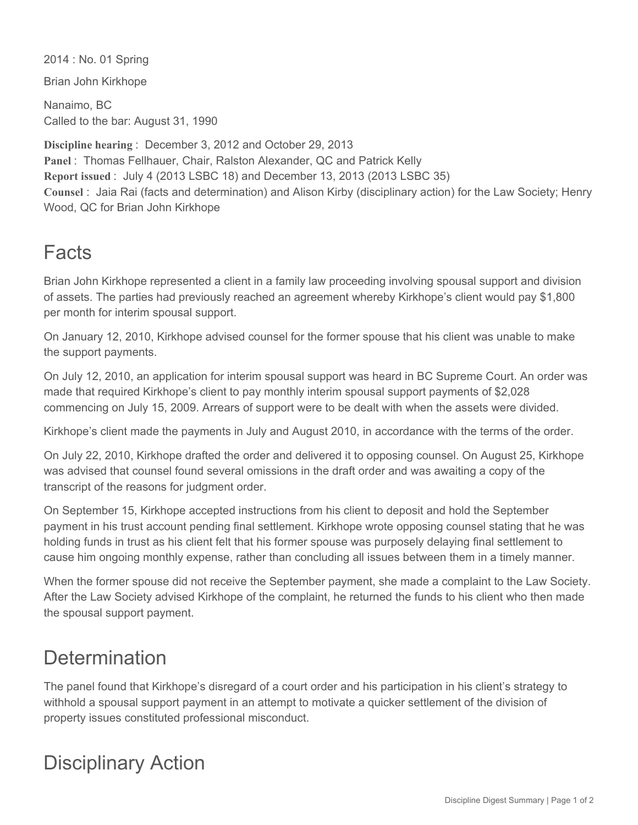2014 : No. 01 Spring

Brian John Kirkhope

Nanaimo, BC Called to the bar: August 31, 1990

**Discipline hearing** : December 3, 2012 and October 29, 2013 **Panel** : Thomas Fellhauer, Chair, Ralston Alexander, QC and Patrick Kelly **Report issued** : July 4 (2013 LSBC 18) and December 13, 2013 (2013 LSBC 35) **Counsel** : Jaia Rai (facts and determination) and Alison Kirby (disciplinary action) for the Law Society; Henry Wood, QC for Brian John Kirkhope

## Facts

Brian John Kirkhope represented a client in a family law proceeding involving spousal support and division of assets. The parties had previously reached an agreement whereby Kirkhope's client would pay \$1,800 per month for interim spousal support.

On January 12, 2010, Kirkhope advised counsel for the former spouse that his client was unable to make the support payments.

On July 12, 2010, an application for interim spousal support was heard in BC Supreme Court. An order was made that required Kirkhope's client to pay monthly interim spousal support payments of \$2,028 commencing on July 15, 2009. Arrears of support were to be dealt with when the assets were divided.

Kirkhope's client made the payments in July and August 2010, in accordance with the terms of the order.

On July 22, 2010, Kirkhope drafted the order and delivered it to opposing counsel. On August 25, Kirkhope was advised that counsel found several omissions in the draft order and was awaiting a copy of the transcript of the reasons for judgment order.

On September 15, Kirkhope accepted instructions from his client to deposit and hold the September payment in his trust account pending final settlement. Kirkhope wrote opposing counsel stating that he was holding funds in trust as his client felt that his former spouse was purposely delaying final settlement to cause him ongoing monthly expense, rather than concluding all issues between them in a timely manner.

When the former spouse did not receive the September payment, she made a complaint to the Law Society. After the Law Society advised Kirkhope of the complaint, he returned the funds to his client who then made the spousal support payment.

## **Determination**

The panel found that Kirkhope's disregard of a court order and his participation in his client's strategy to withhold a spousal support payment in an attempt to motivate a quicker settlement of the division of property issues constituted professional misconduct.

## Disciplinary Action